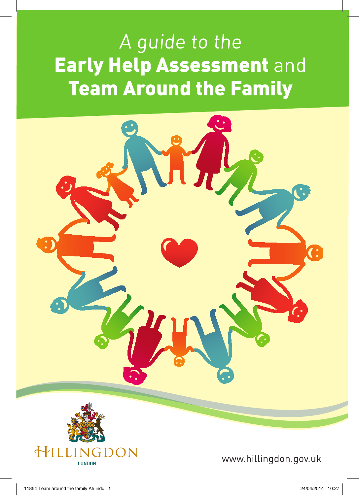# A guide to the Early Help Assessment and Team Around the Family



www.hillingdon.gov.uk

**LONDON**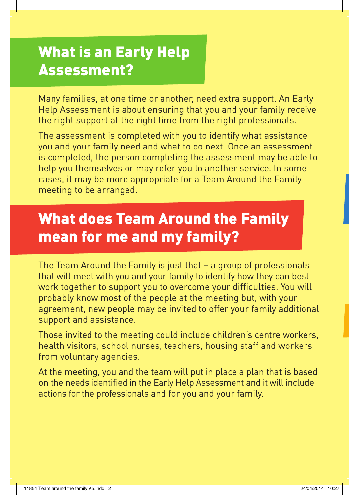## What is an Early Help Assessment?

Many families, at one time or another, need extra support. An Early Help Assessment is about ensuring that you and your family receive the right support at the right time from the right professionals.

The assessment is completed with you to identify what assistance you and your family need and what to do next. Once an assessment is completed, the person completing the assessment may be able to help you themselves or may refer you to another service. In some cases, it may be more appropriate for a Team Around the Family meeting to be arranged.

## What does Team Around the Family mean for me and my family?

The Team Around the Family is just that – a group of professionals that will meet with you and your family to identify how they can best work together to support you to overcome your difficulties. You will probably know most of the people at the meeting but, with your agreement, new people may be invited to offer your family additional support and assistance.

Those invited to the meeting could include children's centre workers, health visitors, school nurses, teachers, housing staff and workers from voluntary agencies.

At the meeting, you and the team will put in place a plan that is based on the needs identified in the Early Help Assessment and it will include actions for the professionals and for you and your family.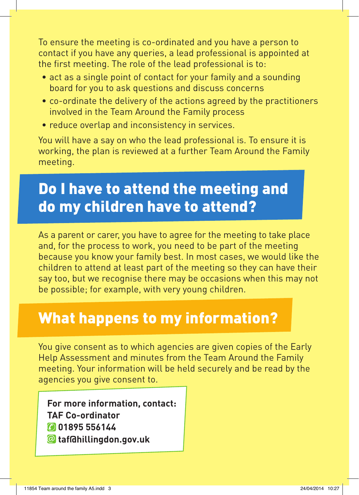To ensure the meeting is co-ordinated and you have a person to contact if you have any queries, a lead professional is appointed at the first meeting. The role of the lead professional is to:

- act as a single point of contact for your family and a sounding board for you to ask questions and discuss concerns
- co-ordinate the delivery of the actions agreed by the practitioners involved in the Team Around the Family process
- reduce overlap and inconsistency in services.

You will have a say on who the lead professional is. To ensure it is working, the plan is reviewed at a further Team Around the Family meeting.

## Do I have to attend the meeting and do my children have to attend?

As a parent or carer, you have to agree for the meeting to take place and, for the process to work, you need to be part of the meeting because you know your family best. In most cases, we would like the children to attend at least part of the meeting so they can have their say too, but we recognise there may be occasions when this may not be possible; for example, with very young children.

#### What happens to my information?

You give consent as to which agencies are given copies of the Early Help Assessment and minutes from the Team Around the Family meeting. Your information will be held securely and be read by the agencies you give consent to.

**For more information, contact: TAF Co-ordinator 01895 556144 taf@hillingdon.gov.uk**